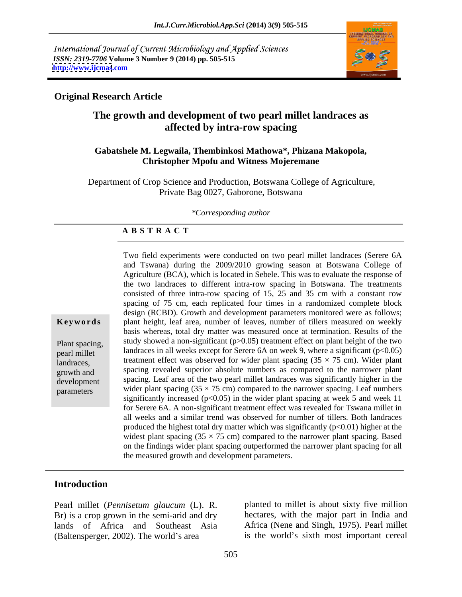International Journal of Current Microbiology and Applied Sciences *ISSN: 2319-7706* **Volume 3 Number 9 (2014) pp. 505-515 <http://www.ijcmas>.com**



# **Original Research Article**

# **The growth and development of two pearl millet landraces as affected by intra-row spacing**

### **Gabatshele M. Legwaila, Thembinkosi Mathowa\*, Phizana Makopola, Christopher Mpofu and Witness Mojeremane**

Department of Crop Science and Production, Botswana College of Agriculture, Private Bag 0027, Gaborone, Botswana

### *\*Corresponding author*

### **A B S T R A C T**

**Keywords** plant height, leaf area, number of leaves, number of tillers measured on weekly Plant spacing, study showed a non-significant (p>0.05) treatment effect on plant height of the two pearl millet landraces in all weeks except for Serere 6A on week 9, where a significant  $(p<0.05)$ landraces, treatment effect was observed for wider plant spacing  $(35 \times 75 \text{ cm})$ . Wider plant growth and spacing revealed superior absolute numbers as compared to the narrower plant development spacing. Leaf area of the two pearl millet landraces was significantly higher in the parameters wider plant spacing  $(35 \times 75 \text{ cm})$  compared to the narrower spacing. Leaf numbers Two field experiments were conducted on two pearl millet landraces (Serere 6A and Tswana) during the 2009/2010 growing season at Botswana College of Agriculture (BCA), which is located in Sebele. This was to evaluate the response of the two landraces to different intra-row spacing in Botswana. The treatments consisted of three intra-row spacing of 15, 25 and 35 cm with a constant row spacing of 75 cm, each replicated four times in a randomized complete block design (RCBD). Growth and development parameters monitored were as follows; basis whereas, total dry matter was measured once at termination. Results of the significantly increased ( $p<0.05$ ) in the wider plant spacing at week 5 and week 11 for Serere 6A. A non-significant treatment effect was revealed for Tswana millet in all weeks and a similar trend was observed for number of tillers. Both landraces produced the highest total dry matter which was significantly  $(p<0.01)$  higher at the widest plant spacing  $(35 \times 75 \text{ cm})$  compared to the narrower plant spacing. Based on the findings wider plant spacing outperformed the narrower plant spacing for all the measured growth and development parameters.

### **Introduction**

Pearl millet (*Pennisetum glaucum* (L). R. Br) is a crop grown in the semi-arid and dry hectares, with the major part in India and lands of Africa and Southeast Asia Africa (Nene and Singh, 1975). Pearl millet (Baltensperger, 2002). The world's area

planted to millet is about sixty five million is the world's sixth most important cereal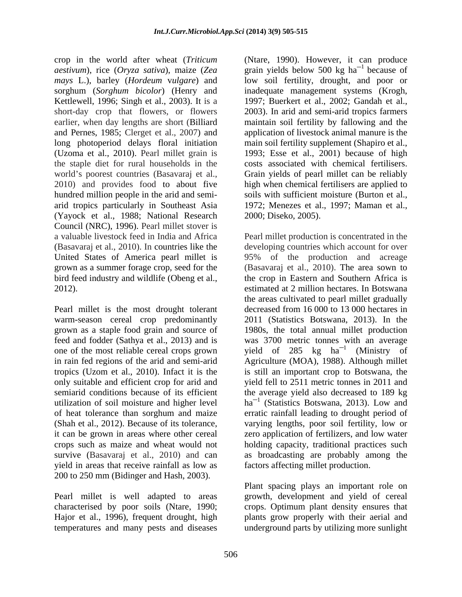crop in the world after wheat (*Triticum* (Ntare, 1990). However, it can produce *aestivum*), rice (*Oryza sativa*), maize (*Zea* grain yields below 500 kg ha *mays* L.), barley (*Hordeum* v*ulgare*) and sorghum (*Sorghum bicolor*) (Henry and inadequate management systems (Krogh, Kettlewell, 1996; Singh et al., 2003). It is a short-day crop that flowers, or flowers earlier, when day lengths are short (Billiard maintain soil fertility by fallowing and the and Pernes, 1985; Clerget et al., 2007) and application of livestock animal manure is the long photoperiod delays floral initiation main soil fertility supplement (Shapiro et al., (Uzoma et al., 2010). Pearl millet grain is the staple diet for rural households in the world's poorest countries (Basavaraj et al., Grain yields of pearl millet can be reliably 2010) and provides food to about five high when chemical fertilisers are applied to hundred million people in the arid and semi-<br>soils with sufficient moisture (Burton et al., arid tropics particularly in Southeast Asia 1972; Menezes et al., 1997; Maman et al., (Yayock et al., 1988; National Research Council (NRC), 1996). Pearl millet stover is United States of America pearl millet is 95% of the production and acreage

Pearl millet is the most drought tolerant yield in areas that receive rainfall as low as 200 to 250 mm (Bidinger and Hash, 2003).

Hajor et al., 1996), frequent drought, high

 $\frac{1}{2}$  because of because of low soil fertility, drought, and poor or 1997; Buerkert et al., 2002; Gandah et al., 2003). In arid and semi-arid tropics farmers 1993; Esse et al., 2001) because of high costs associated with chemical fertilisers. soils with sufficient moisture (Burton et al., 1972; Menezes et al., 1997; Maman et al., 2000; Diseko, 2005).

a valuable livestock feed in India and Africa Pearl millet production is concentrated in the (Basavaraj et al., 2010). In countries like the developing countries which account for over grown as a summer forage crop, seed for the (Basavaraj et al., 2010). The area sown to bird feed industry and wildlife (Obeng et al., the crop in Eastern and Southern Africa is 2012). estimated at 2 million hectares. In Botswana warm-season cereal crop predominantly 2011 (Statistics Botswana, 2013). In the grown as a staple food grain and source of 1980s, the total annual millet production feed and fodder (Sathya et al., 2013) and is was 3700 metric tonnes with an average one of the most reliable cereal crops grown yield of 285 kg  $ha^{-1}$  (Ministry of in rain fed regions of the arid and semi-arid Agriculture (MOA), 1988). Although millet tropics (Uzom et al., 2010). Infact it is the is still an important crop to Botswana, the only suitable and efficient crop for arid and yield fell to 2511 metric tonnes in 2011 and semiarid conditions because of its efficient the average yield also decreased to 189 kg utilization of soil moisture and higher level  $ha^{-1}$  (Statistics Botswana, 2013). Low and of heat tolerance than sorghum and maize erratic rainfall leading to drought period of (Shah et al., 2012). Because of its tolerance, varying lengths, poor soil fertility, low or it can be grown in areas where other cereal zero application of fertilizers, and low water crops such as maize and wheat would not holding capacity, traditional practices such survive (Basavaraj et al., 2010) and can as broadcasting are probably among the 95% of the production and acreage the areas cultivated to pearl millet gradually decreased from 16 000 to 13 000 hectares in (Ministry of factors affecting millet production.

Pearl millet is well adapted to areas growth, development and yield of cereal characterised by poor soils (Ntare, 1990; crops.Optimum plant density ensures that temperatures and many pests and diseases underground parts by utilizing more sunlight Plant spacing plays an important role on plants grow properly with their aerial and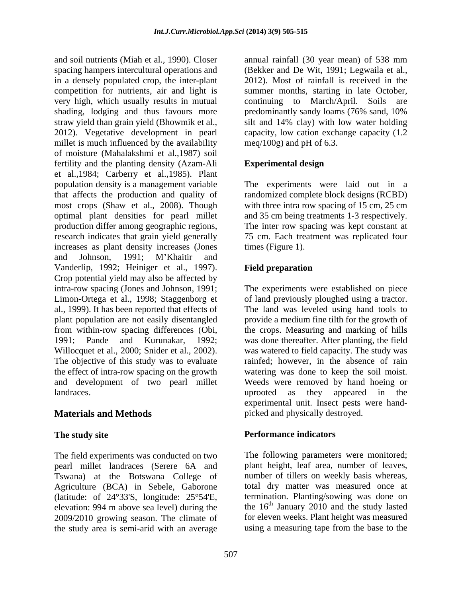and soil nutrients (Miah et al*.,* 1990). Closer annual rainfall (30 year mean) of 538 mm spacing hampers intercultural operations and in a densely populated crop, the inter-plant 2012). Most of rainfall is received in the competition for nutrients, air and light is summer months, starting in late October, very high, which usually results in mutual continuing to March/April. Soils are shading, lodging and thus favours more predominantly sandy loams (76% sand, 10% straw yield than grain yield (Bhowmik et al., silt and 14% clay) with low water holding 2012). Vegetative development in pearl capacity, low cation exchange capacity (1.2 millet is much influenced by the availability of moisture (Mahalakshmi et al.,1987) soil fertility and the planting density (Azam-Ali et al.,1984; Carberry et al.,1985). Plant population density is a management variable The experiments were laid out in a that affects the production and quality of randomized complete block designs (RCBD) most crops (Shaw et al., 2008). Though optimal plant densities for pearl millet and 35 cm being treatments 1-3 respectively. production differ among geographic regions, The inter row spacing was kept constant at research indicates that grain yield generally 75 cm. Each treatment was replicated four increases as plant density increases (Jones times (Figure 1). and Johnson, 1991; M Khaitir and Vanderlip, 1992; Heiniger et al., 1997). Field preparation Crop potential yield may also be affected by intra-row spacing (Jones and Johnson, 1991; The experiments were established on piece Limon-Ortega et al., 1998; Staggenborg et of land previously ploughed using a tractor. al., 1999). It has been reported that effects of The land was leveled using hand tools to plant population are not easily disentangled provide a medium fine tilth for the growth of from within-row spacing differences (Obi, the crops. Measuring and marking of hills 1991; Pande and Kurunakar, 1992; was done thereafter. After planting, the field Willocquet et al., 2000; Snider et al., 2002). The objective of this study was to evaluate rainfed; however, in the absence of rain the effect of intra-row spacing on the growth watering was done to keep the soil moist. and development of two pearl millet Weeds were removed by hand hoeing or landraces. The uproof as they appeared in the landraces.

The field experiments was conducted on two pearl millet landraces (Serere 6A and Tswana) at the Botswana College of Agriculture (BCA) in Sebele, Gaborone total dry matter was measured once at (latitude: of 24°33'S, longitude: 25°54'E, elevation: 994 m above sea level) during the 2009/2010 growing season. The climate of the study area is semi-arid with an average

(Bekker and De Wit, 1991; Legwaila et al., continuing to March/April. meq/100g) and pH of  $6.3$ .

# **Experimental design**

with three intra row spacing of 15 cm, 25 cm times (Figure 1).

# **Field preparation**

**Materials and Methods picked and physically destroyed.** was watered to field capacity. The study was uprooted as they appeared in the experimental unit. Insect pests were hand-

### **The study site example 2 constructed by Performance indicators Performance indicators**

The following parameters were monitored; plant height, leaf area, number of leaves, number of tillers on weekly basis whereas, termination. Planting/sowing was done on the  $16<sup>th</sup>$  January 2010 and the study lasted for eleven weeks. Plant height was measured using a measuring tape from the base to the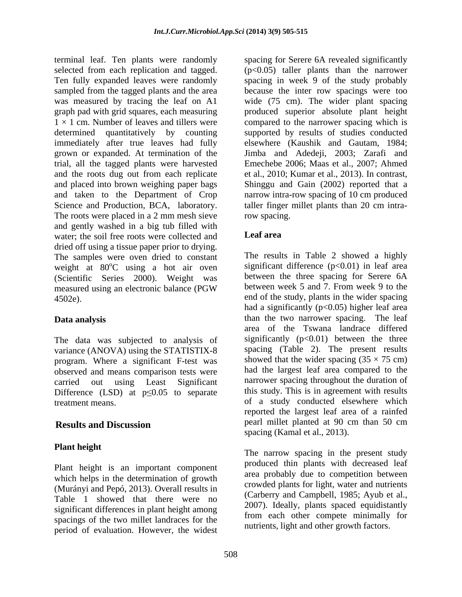terminal leaf. Ten plants were randomly spacing for Serere 6A revealed significantly selected from each replication and tagged.  $(p<0.05)$  taller plants than the narrower Ten fully expanded leaves were randomly spacing in week 9 of the study probably sampled from the tagged plants and the area because the inter row spacings were too was measured by tracing the leaf on A1 wide (75 cm). The wider plant spacing graph pad with grid squares, each measuring produced superior absolute plant height 1 × 1 cm. Number of leaves and tillers were compared to the narrower spacing which is determined quantitatively by counting supported by results of studies conducted immediately after true leaves had fully grown or expanded. At termination of the trial, all the tagged plants were harvested Emechebe 2006; Maas et al., 2007; Ahmed and the roots dug out from each replicate et al., 2010; Kumar et al., 2013). In contrast, and placed into brown weighing paper bags and taken to the Department of Crop narrow intra-row spacing of 10 cm produced Science and Production, BCA, laboratory. taller finger millet plants than 20 cm intra-The roots were placed in a 2 mm mesh sieve row spacing. and gently washed in a big tub filled with<br>water: the soil free roots were collected and **Leaf area** water; the soil free roots were collected and dried off using a tissue paper prior to drying. The samples were oven dried to constant weight at 80°C using a hot air oven (Scientific Series 2000). Weight was between the three spacing for Serere 6A measured using an electronic balance (PGW between week 5 and 7. From week 9 to the measured using an electronic balance (PGW between week 5 and 7. From week 9 to the 4502e). end of the study, plants in the wider spacing

The data was subjected to analysis of variance (ANOVA) using the STATISTIX-8 program. Where a significant F-test was observed and means comparison tests were Difference (LSD) at  $p \le 0.05$  to separate

Plant height is an important component which helps in the determination of growth (Murányi and Pepó, 2013). Overall results in Table 1 showed that there were no significant differences in plant height among spacings of the two millet landraces for the period of evaluation. However, the widest

elsewhere (Kaushik and Gautam, 1984; Jimba and Adedeji, 2003; Zarafi and Shinggu and Gain (2002) reported that a row spacing.

# **Leaf area**

 $^{\circ}$ C using a hot air oven significant difference (p<0.01) in leaf area **Data analysis than the two narrower spacing.** The leaf carried out using Least Significant narrower spacing throughout the duration of treatment means. of a study conducted elsewhere which **Results and Discussion Secure 2012 PERTY PERTY EXECUTE 2012 CONDUCT EXECUTE 2012 CONDUCT** The results in Table 2 showed a highly between the three spacing for Serere 6A between week 5 and 7. From week 9 to the had a significantly  $(p<0.05)$  higher leaf area area of the Tswana landrace differed significantly  $(p<0.01)$  between the three spacing (Table 2). The present results showed that the wider spacing  $(35 \times 75 \text{ cm})$ had the largest leaf area compared to the this study. This is in agreement with results reported the largest leaf area of a rainfed pearl millet planted at 90 cm than 50 cm spacing (Kamal et al., 2013).

**Plant height**<br>
The narrow spacing in the present study produced thin plants with decreased leaf area probably due to competition between crowded plants for light, water and nutrients (Carberry and Campbell, 1985; Ayub et al., 2007). Ideally, plants spaced equidistantly from each other compete minimally for nutrients, light and other growth factors.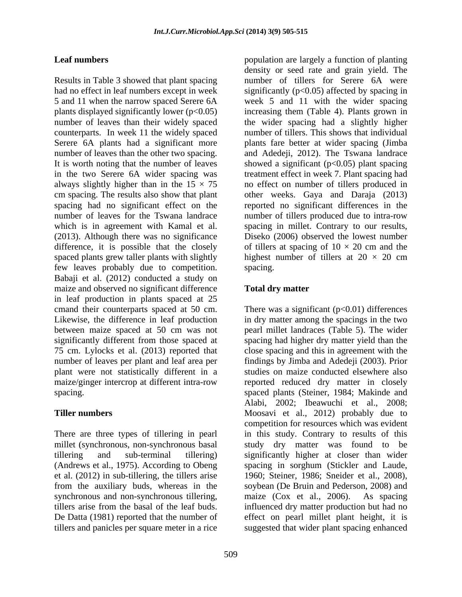Results in Table 3 showed that plant spacing number of tillers for Serere 6A were had no effect in leaf numbers except in week significantly (p<0.05) affected by spacing in 5 and 11 when the narrow spaced Serere 6A week 5 and 11 with the wider spacing plants displayed significantly lower (p<0.05) increasing them (Table 4). Plants grown in number of leaves than their widely spaced the wider spacing had a slightly higher counterparts. In week 11 the widely spaced Serere 6A plants had a significant more plants fare better at wider spacing (Jimba number of leaves than the other two spacing. and Adedeji, 2012). The Tswana landrace It is worth noting that the number of leaves showed a significant (p<0.05) plant spacing in the two Serere 6A wider spacing was treatment effect in week 7. Plant spacing had always slightly higher than in the  $15 \times 75$ cm spacing. The results also show that plant other weeks. Gaya and Daraja (2013) spacing had no significant effect on the reported no significant differences in the number of leaves for the Tswana landrace number of tillers produced due to intra-row which is in agreement with Kamal et al. spacing in millet. Contrary to our results, (2013). Although there was no significance difference, it is possible that the closely of tillers at spacing of  $10 \times 20$  cm and the spaced plants grew taller plants with slightly highest number of tillers at  $20 \times 20$  cm few leaves probably due to competition. Spacing.<br>Babaji et al. (2012) conducted a study on maize and observed no significant difference Total dry matter in leaf production in plants spaced at 25 75 cm. Lylocks et al. (2013) reported that

et al. (2012) in sub-tillering, the tillers arise 1960; Steiner, 1986; Sneider et al., 2008), from the auxiliary buds, whereas in the soybean (De Bruin and Pederson, 2008) and synchronous and non-synchronous tillering, maize (Cox et al., 2006). As spacing tillers and panicles per square meter in a rice

**Leaf numbers** population are largely a function of planting density or seed rate and grain yield. The number of tillers for Serere 6A were number of tillers. This shows that individual no effect on number of tillers produced in Diseko (2006) observed the lowest number spacing.

# **Total dry matter**

cmand their counterparts spaced at 50 cm. There was a significant (p<0.01) differences<br>Likewise, the difference in leaf production in dry matter among the spacings in the two between maize spaced at 50 cm was not pearl millet landraces (Table 5). The wider significantly different from those spaced at spacing had higher dry matter yield than the number of leaves per plant and leaf area per findings by Jimba and Adedeji (2003). Prior plant were not statistically different in a studies on maize conducted elsewhere also maize/ginger intercrop at different intra-row reported reduced dry matter in closely spacing. spaced plants (Steiner, 1984; Makinde and **Tiller numbers** Moosavi et al., 2012) probably due to There are three types of tillering in pearl in this study. Contrary to results of this millet (synchronous, non-synchronous basal study dry matter was found to be tillering and sub-terminal tillering) significantly higher at closer than wider (Andrews et al., 1975). According to Obeng spacing in sorghum (Stickler and Laude, tillers arise from the basal of the leaf buds. influenced dry matter production but had no De Datta (1981) reported that the number of effect on pearl millet plant height, it is There was a significant  $(p<0.01)$  differences in dry matter among the spacings in the two close spacing and this in agreement with the Alabi, 2002; Ibeawuchi et al., 2008; competition for resources which was evident 1960; Steiner, 1986; Sneider et al., 2008), soybean (De Bruin and Pederson, 2008) and maize (Cox et al., 2006). As spacing suggested that wider plant spacing enhanced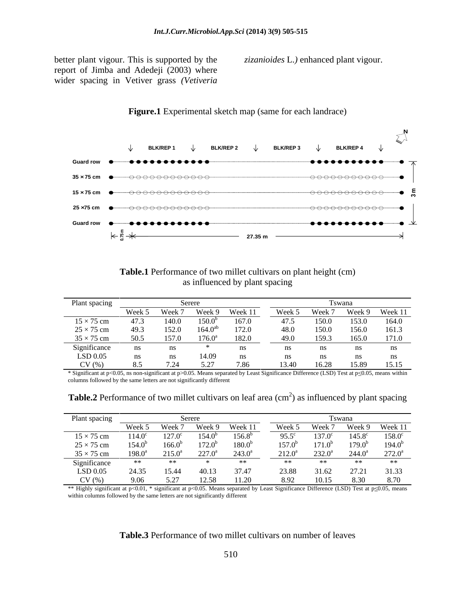better plant vigour. This is supported by the report of Jimba and Adedeji (2003) where wider spacing in Vetiver grass *(Vetiveria*

*zizanioides* L.*)* enhanced plant vigour.



## **Figure.1** Experimental sketch map (same for each landrace)

| <b>Table.1</b> Performance of two millet cultivars on plant height (cm) |  |
|-------------------------------------------------------------------------|--|
| as influenced by plant spacing                                          |  |

| Plant spacing     |                |        |                 |         |        |        |       |                |
|-------------------|----------------|--------|-----------------|---------|--------|--------|-------|----------------|
|                   | Week 5         | Week 7 | Week 9          | Week 11 | Week 5 | Week 7 |       | Week 9 Week 11 |
| $15 \times 75$ cm | 47.3           | 140.0  | $150.0^{b}$     | 167.0   | 47.5   | 150.0  | 153.0 | 164.0          |
| $25 \times 75$ cm | 49.3           | 152.0  | $164.0^{ab}$    | 172.0   | 48.0   | 150.0  | 156.0 | 161.3          |
| $35 \times 75$ cm | 50.5           | 157.0  | $176.0^{\rm a}$ | 182.0   | 49.0   | 159.3  | 165.0 | 171.0          |
| Significance      | ns             | ns     |                 |         |        |        |       |                |
| LSD 0.05          | $\mathbf{n}$ s | ns     | 14.09           | ns      |        |        |       |                |
| CV(%)             |                |        | 5. 27           | 7 86    | 13.40  | 16.28  | 15.89 | 15.15          |

\* Significant at p<0.05, ns non-significant at p>0.05. Means separated by Least Significance Difference (LSD) Test at p 0.05, means within columns followed by the same letters are not significantly different

**Table.2** Performance of two millet cultivars on leaf area (cm<sup>2</sup>) as influenced by plant spacing

| Plant spaci       |                 |                 |                 |                    |                 | Tswana          |                    |                 |
|-------------------|-----------------|-----------------|-----------------|--------------------|-----------------|-----------------|--------------------|-----------------|
|                   | Week 5          | Week 7          | Week 9          | Week 11            | Week 5          | Week 7          | Week 9             | Week 11         |
| $15 \times 75$ cm | $114.0^{\circ}$ | $127.0^{\circ}$ | 154.0           | $156.8^{b}$        | $95.5^{\circ}$  | $137.0^{\circ}$ | $145.8^{\circ}$    | $158.0^{\circ}$ |
| $25 \times 75$ cm | $154.0^{\rm b}$ | $166.0^b$       | 172.0           | 180.0 <sup>b</sup> | $157.0^{\rm b}$ | $171.0^{b}$     | 179.0 <sup>b</sup> | $194.0^{\rm b}$ |
| $35 \times 75$ cm | $198.0^{\rm a}$ | $215.0^a$       | $227.0^{\circ}$ | $243.0^{\circ}$    | $212.0^a$       | $232.0^{\circ}$ | $244.0^{\circ}$    | $272.0^{\circ}$ |
| Significance      |                 |                 |                 | **                 |                 |                 |                    | **              |
| LSD 0.05          | 24.35           | 15.44           | 40.13           | 37.47              | 23.88           | 31.62           | 27.21              | 31.33           |
| CV(%)             | 9.06            | 5.27            |                 |                    |                 | 10.15           | -830               |                 |

\*\* Highly significant at p<0.01, \* significant at p<0.05. Means separated by Least Significance Difference (LSD) Test at p≤0.05, means within columns followed by the same letters are not significantly different

### **Table.3** Performance of two millet cultivars on number of leaves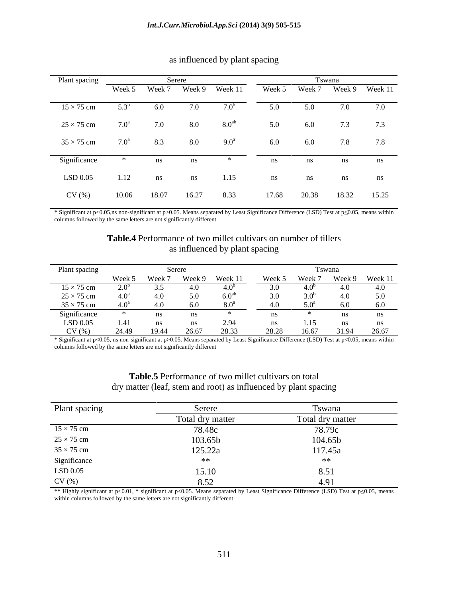| Plant spacing     |                    |        | Serere |                    |        |       | Tswana |                       |
|-------------------|--------------------|--------|--------|--------------------|--------|-------|--------|-----------------------|
|                   | Week 5             | Week 7 | Week 9 | Week 11            | Week 5 |       |        | Week 7 Week 9 Week 11 |
| $15 \times 75$ cm | $5.3^{b}$          | 6.0    | 7.0    | 7.0 <sup>b</sup>   | 5.0    | 5.0   | 7.0    | 7.0                   |
| $25 \times 75$ cm | $7.0^{\mathrm{a}}$ | 7.0    | 8.0    | 8.0 <sup>ab</sup>  | 5.0    | 6.0   | 7.3    | 7.3                   |
| $35 \times 75$ cm | $7.0^{\mathrm{a}}$ | 8.3    | 8.0    | $9.0^{\mathrm{a}}$ | 6.0    | 6.0   | 7.8    | 7.8                   |
| Significance      | $\rightarrow$      | ns     | ns     |                    | ns     | ns    | ns     | ns                    |
| LSD 0.05          | 1.12               | ns     | ns     | 1.15               | ns     | ns    | ns     | ns                    |
| CV(%)             | 10.06              | 18.07  | 16.27  | 8.33               | 17.68  | 20.38 | 18.32  | 15.25                 |

## as influenced by plant spacing

\* Significant at p<0.05,ns non-significant at p>0.05. Means separated by Least Significance Difference (LSD) Test at p<0.05, means within columns followed by the same letters are not significantly different

### **Table.4** Performance of two millet cultivars on number of tillers as influenced by plant spacing

| Plant spacin,     |                  |        |        |                  |        |        |        |         |
|-------------------|------------------|--------|--------|------------------|--------|--------|--------|---------|
|                   | Week 5           | Week 7 | Week 9 | Week 11          | Week 5 | Week 7 | Week 9 | Week 11 |
| $15 \times 75$ cm |                  |        |        |                  |        |        |        | 4.0     |
| $25 \times 75$ cm | 4.0 <sup>a</sup> |        |        |                  |        |        |        | 5.0     |
| $35 \times 75$ cm | $4.0^{\rm a}$    |        |        |                  |        |        |        |         |
| Significance      |                  |        |        |                  |        |        |        |         |
| LSD 0.05          | 1.41             |        |        | 2.94             | ns     | 1.15   |        |         |
| CV(%)             | 24.49            | 19.44  | 26.67  | 28.33<br>$-0.55$ | 28.28  | 16.67  |        | 26.67   |

\* Significant at p<0.05, ns non-significant at p>0.05. Means separated by Least Significance Difference (LSD) Test at p 0.05, means within columns followed by the same letters are not significantly different

### **Table.5** Performance of two millet cultivars on total dry matter (leaf, stem and root) as influenced by plant spacing

| Plant spacing                                               | 0.01                         | Tswana                              |
|-------------------------------------------------------------|------------------------------|-------------------------------------|
|                                                             | Total dry matter             | Total dry matter                    |
|                                                             |                              |                                     |
| $15 \times 75$ cm<br>$25 \times 75$ cm<br>$35 \times 75$ cm |                              |                                     |
|                                                             | 78.48c<br>103.65b<br>125.22a | $\frac{78.79c}{104.65b}$<br>117.45a |
|                                                             | ∗∗                           |                                     |
|                                                             | 15.10                        | 8.51                                |
| Significance<br>LSD 0.05<br>CV (%)                          | 0.52                         | 4.91                                |

\*\* Highly significant at p<0.01, \* significant at p<0.05. Means separated by Least Significance Difference (LSD) Test at p<0.05, means within columns followed by the same letters are not significantly different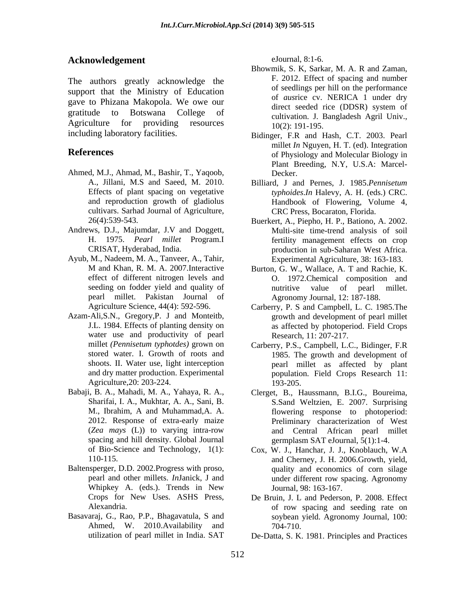# Acknowledgement eJournal, 8:1-6.

The authors greatly acknowledge the support that the Ministry of Education of seedlings per nil on the performance<br>of *austice* cv. NERICA 1 under dry gave to Phizana Makopola. We owe our direct seeded rice (DDSR) system of gratitude to Botswana College of Agriculture for providing resources  $10(2)$  191-195

- Ahmed, M.J., Ahmad, M., Bashir, T., Yaqoob, cultivars. Sarhad Journal of Agriculture,
- Andrews, D.J., Majumdar, J.V and Doggett,
- Ayub, M., Nadeem, M. A., Tanveer, A., Tahir, pearl millet. Pakistan Journal of
- water use and productivity of pearl Agriculture, 20: 203-224. 193-205.
- spacing and hill density. Global Journal spacing spacing and hill density. Global Journal separation of  $\frac{1}{2}$  set  $\frac{1}{2}$ .
- Baltensperger, D.D. 2002.Progress with proso,
- Basavaraj, G., Rao, P.P., Bhagavatula, S and Ahmed, W. 2010.Availability and  $704-710$ .

eJournal, 8:1-6.

- Bhowmik, S. K, Sarkar, M. A. R and Zaman, F. 2012. Effect of spacing and number of seedlings per hill on the performance of *aus*rice cv. NERICA 1 under dry direct seeded rice (DDSR) system of cultivation. J. Bangladesh Agril Univ., 10(2): 191-195.
- including laboratory facilities. Bidinger, F.R and Hash, C.T. 2003. Pearl **References** of Physiology and Molecular Biology in millet *In* Nguyen, H. T. (ed). Integration Plant Breeding, N.Y, U.S.A: Marcel- Decker.
	- A., Jillani, M.S and Saeed, M. 2010. Billiard, J and Pernes, J. 1985.*Pennisetum* Effects of plant spacing on vegetative *typhoides*.*In* Halevy, A. H. (eds.) CRC. and reproduction growth of gladiolus Handbook of Flowering, Volume 4, CRC Press, Bocaraton, Florida.
	- 26(4):539-543. Buerkert, A., Piepho, H. P., Bationo, A. 2002. H. 1975. *Pearl millet* Program.I fertility management effects on crop CRISAT, Hyderabad, India. production in sub-Saharan West Africa. Multi-site time-trend analysis of soil Experimental Agriculture, 38: 163-183.
	- M and Khan, R. M. A. 2007.Interactive Burton, G. W., Wallace, A. T and Rachie, K. effect of different nitrogen levels and O. 1972.Chemical composition and seeding on fodder yield and quality of nutritive value of pearl millet. nutritive value of pearl millet. Agronomy Journal, 12: 187-188.
- Agriculture Science, 44(4): 592-596. Carberry, P. S and Campbell, L. C. 1985.The Azam-Ali,S.N., Gregory,P. J and Monteitb, growth and development of pearl millet J.L. 1984. Effects of planting density on as affected by photoperiod. Field Crops Research, 11: 207-217.
	- millet *(Pennisetum typhotdes)* grown on Carberry, P.S., Campbell, L.C., Bidinger, F.R stored water. I. Growth of roots and 1985. The growth and development of shoots. II. Water use, light interception pearl millet as affected by plant and dry matter production. Experimental population. Field Crops Research 11: 193-205.
- Babaji, B. A., Mahadi, M. A., Yahaya, R. A., Clerget, B., Haussmann, B.I.G., Boureima, Sharifai, I. A., Mukhtar, A. A., Sani, B. S.Sand Weltzien, E. 2007. Surprising M., Ibrahim, A and Muhammad,A. A. flowering response to photoperiod: 2012. Response of extra-early maize Preliminary characterization of West (*Zea mays* (L)) to varying intra-row and Central African pearl millet germplasm SAT eJournal, 5(1):1-4.
	- of Bio-Science and Technology, 1(1): Cox, W. J., Hanchar, J. J., Knoblauch, W.A 110-115. and Cherney, J. H. 2006.Growth, yield, pearl and other millets. *In*Janick, J and under different row spacing. Agronomy Whipkey A. (eds.). Trends in New quality and economics of corn silage Journal, 98: 163-167.
	- Crops for New Uses. ASHS Press, De Bruin, J. L and Pederson, P. 2008. Effect Alexandria. of row spacing and seeding rate on soybean yield. Agronomy Journal, 100: 704-710.
	- utilization of pearl millet in India. SAT De-Datta, S. K. 1981. Principles and Practices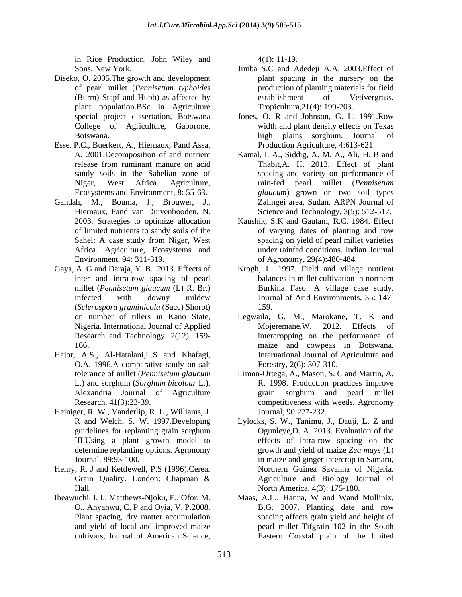in Rice Production. John Wiley and 4(1): 11-19.

- Diseko, O. 2005.The growth and development plant population.BSc in Agriculture
- Esse, P.C., Buerkert, A., Hiernaux, Pand Assa,
- Gandah, M., Bouma, J., Brouwer, J., Africa. Agriculture, Ecosystems and
- Gaya, A. G and Daraja, Y. B. 2013. Effects of (*Sclerospora graminicola* (Sacc) Shorot)
- Hajor, A.S., Al-Hatalani,L.S and Khafagi, O.A. 1996.A comparative study on salt
- Heiniger, R. W., Vanderlip, R. L., Williams, J.
- Henry, R. J and Kettlewell, P.S (1996).Cereal
- Ibeawuchi, I. I., Matthews-Njoku, E., Ofor, M. and yield of local and improved maize

4(1): 11-19.

- Sons, New York. Jimba S.C and Adedeji A.A. 2003.Effect of of pearl millet (*Pennisetum typhoides* (Burm) Stapf and Hubb) as affected by plant spacing in the nursery on the production of planting materials for field establishment of Vetivergrass. Tropicultura,21(4): 199-203.
- special project dissertation, Botswana Jones, O. R and Johnson, G. L. 1991.Row College of Agriculture, Gaborone, width and plant density effects on Texas Botswana. high plains sorghum. Journal of Production Agriculture, 4:613-621.
- A. 2001.Decomposition of and nutrient Kamal, I. A., Siddig, A. M. A., Ali, H. B and release from ruminant manure on acid Thabit,A. H. 2013. Effect of plant sandy soils in the Sahelian zone of spacing and variety on performance of Niger, West Africa. Agriculture, rain-fed pearl millet (*Pennisetum*  Ecosystems and Environment, 8: 55-63. *glaucum*) grown on two soil types Hiernaux, Pand van Duivenbooden, N. Science and Technology, 3(5): 512-517. Zalingei area, Sudan. ARPN Journal of
- 2003. Strategies to optimize allocation Kaushik, S.K and Gautam, R.C. 1984. Effect of limited nutrients to sandy soils of the Sahel: A case study from Niger, West spacing on yield of pearl millet varieties Environment, 94: 311-319. of Agronomy, 29(4):480-484. of varying dates of planting and row spacing on yield of pearl millet varieties under rainfed conditions. Indian Journal
- inter and intra-row spacing of pearl balances in millet cultivation in northern millet (*Pennisetum glaucum* (L) R. Br.) infected with downy mildew Journal of Arid Environments, 35: 147-Krogh, L. 1997. Field and village nutrient balances in millet cultivation in northern Burkina Faso: A village case study. Journal of Arid Environments, 35: 147- 159.
- on number of tillers in Kano State, Legwaila, G. M., Marokane, T. K and Nigeria. International Journal of Applied Mojeremane, W. 2012. Effects of Research and Technology, 2(12): 159- intercropping on the performance of 166. maize and cowpeas in Botswana. Mojeremane,W. 2012. Effects of International Journal of Agriculture and Forestry, 2(6): 307-310.
- tolerance of millet (*Pennisetum glaucum* Limon-Ortega, A., Mason, S. C and Martin, A. L.) and sorghum (*Sorghum bicolour* L.). Alexandria Journal of Agriculture Research, 41(3):23-39. competitiveness with weeds. Agronomy R. 1998. Production practices improve grain sorghum and pearl millet Journal, 90:227-232.
- R and Welch, S. W. 1997.Developing Lylocks, S. W., Tanimu, J., Dauji, L. Z and guidelines for replanting grain sorghum Cgunleye, D. A. 2013. Evaluation of the III.Using a plant growth model to determine replanting options. Agronomy growth and yield of maize *Zea mays* (L) Journal, 89:93-100. in maize and ginger intercrop in Samaru, Grain Quality. London: Chapman & Agriculture and Biology Journal of Hall. North America, 4(3): 175-180. Ogunleye,D. A. 2013. Evaluation of the effects of intra-row spacing on the Northern Guinea Savanna of Nigeria. Agriculture and Biology Journal of
- O., Anyanwu, C. P and Oyia, V. P.2008. Plant spacing, dry matter accumulation spacing affects grain yield and height of cultivars, Journal of American Science, Eastern Coastal plain of the UnitedMaas, A.L., Hanna, W and Wand Mullinix, B.G. 2007. Planting date and row pearl millet Tifgrain 102 in the South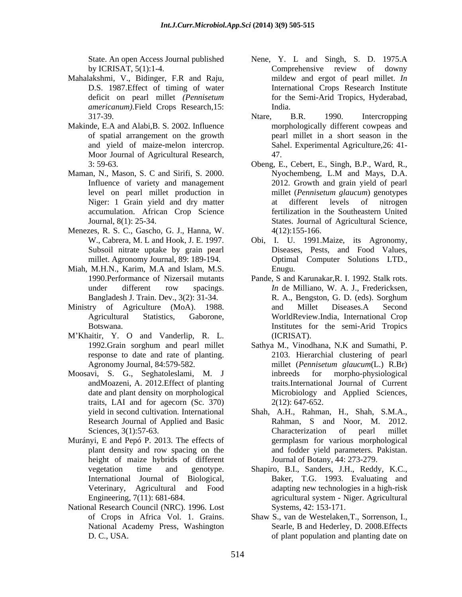- Mahalakshmi, V., Bidinger, F.R and Raju, *americanum).*Field Crops Research,15:
- Makinde, E.A and Alabi,B. S. 2002. Influence Moor Journal of Agricultural Research, 47.
- Maman, N., Mason, S. C and Sirifi, S. 2000. Nyochembeng, L.M and Mays, D.A. accumulation. African Crop Science
- Menezes, R. S. C., Gascho, G. J., Hanna, W.
- Miah, M.H.N., Karim, M.A and Islam, M.S.
- 
- M'Khaitir, Y. O and Vanderlip, R. L. (ICRISAT).
- Moosavi, S. G., Seghatoleslami, M. J traits, LAI and for agecorn (Sc. 370)
- Murányi, E and Pepó P. 2013. The effects of height of maize hybrids of different Veterinary, Agricultural and Food<br>Engineering, 7(11): 681-684.
- National Research Council (NRC). 1996. Lost National Academy Press, Washington
- State. An open Access Journal published Nene, Y. L and Singh, S. D. 1975.A by ICRISAT, 5(1):1-4. Comprehensive review of downy D.S. 1987.Effect of timing of water International Crops Research Institute deficit on pearl millet *(Pennisetum* Comprehensive review of downy mildew and ergot of pearl millet. *In* for the Semi-Arid Tropics, Hyderabad, India.
- 317-39. Mare, B.R. 1990. Intercropping of spatial arrangement on the growth pearl millet in a short season in the and yield of maize-melon intercrop. Sahel. Experimental Agriculture,26: 41- Ntare, B.R. 1990. Intercropping morphologically different cowpeas and 47.
- 3: 59-63. Obeng, E., Cebert, E., Singh, B.P., Ward, R., Influence of variety and management 2012. Growth and grain yield of pearl level on pearl millet production in Niger: 1 Grain yield and dry matter at different levels of nitrogen Journal, 8(1): 25-34. States. Journal of Agricultural Science, Nyochembeng, L.M and Mays, D.A. millet (*Pennisetum glaucum*) genotypes at different levels of nitrogen fertilization in the Southeastern United  $4(12):155-166.$
- W., Cabrera, M. L and Hook, J. E. 1997. Obi, I. U. 1991.Maize, its Agronomy, Subsoil nitrate uptake by grain pearl Diseases, Pests, and Food Values, millet. Agronomy Journal, 89: 189-194. Optimal Computer Solutions LTD., Enugu.
- 1990.Performance of Nizersail mutants Pande, S and Karunakar,R. I. 1992. Stalk rots. under different row spacings. *In* de Milliano, W. A. J., Fredericksen, Bangladesh J. Train. Dev., 3(2): 31-34. <br>R. A., Bengston, G. D. (eds). Sorghum Ministry of Agriculture (MoA). 1988. and Millet Diseases.A Second Agricultural Statistics, Gaborone, WorldReview.India, International Crop Botswana. Institutes for the semi-Arid Tropics *In* de Milliano, W. A. J., Fredericksen, R. A., Bengston, G. D. (eds). Sorghum and Millet Diseases.A Second (ICRISAT).
	- 1992.Grain sorghum and pearl millet Sathya M., Vinodhana, N.K and Sumathi, P. response to date and rate of planting. 2103. Hierarchial clustering of pearl Agronomy Journal, 84:579-582. millet (*Pennisetum glaucum*(L.) R.Br) andMoazeni, A. 2012.Effect of planting traits.International Journal of Current date and plant density on morphological Microbiology and Applied Sciences, millet (*Pennisetum glaucum*(L.) R.Br) for morpho-physiological 2(12): 647-652.
	- yield in second cultivation. International Shah, A.H., Rahman, H., Shah, S.M.A., Research Journal of Applied and Basic Rahman, S and Noor, M. 2012. Sciences, 3(1):57-63. Characterization of pearl millet plant density and row spacing on the and fodder yield parameters. Pakistan. Characterization of pearl millet germplasm for various morphological Journal of Botany, 44: 273-279.
	- vegetation time and genotype. Shapiro, B.I., Sanders, J.H., Reddy, K.C., International Journal of Biological, Baker, T.G. 1993. Evaluating and agricultural system - Niger. Agricultural adapting new technologies in a high-risk agricultural system - Niger. Agricultural Systems, 42: 153-171.
	- of Crops in Africa Vol. 1. Grains. Shaw S., van de Westelaken, T., Sorrenson, I., D. C., USA. of plant population and planting date onSearle, B and Hederley, D. 2008.Effects